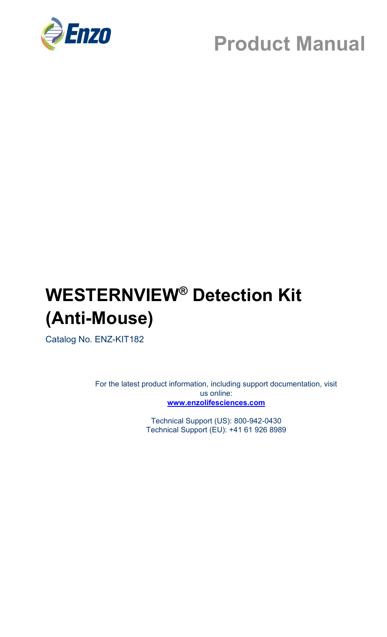

## **WESTERNVIEW® Detection Kit (Anti-Mouse)**

Catalog No. ENZ-KIT182

For the latest product information, including support documentation, visit us online: **[www.enzolifesciences.com](http://www.enzolifesciences.com/)**

> Technical Support (US): 800-942-0430 Technical Support (EU): +41 61 926 8989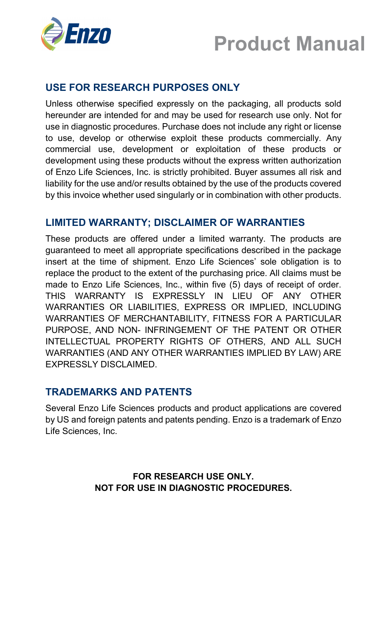

### **USE FOR RESEARCH PURPOSES ONLY**

Unless otherwise specified expressly on the packaging, all products sold hereunder are intended for and may be used for research use only. Not for use in diagnostic procedures. Purchase does not include any right or license to use, develop or otherwise exploit these products commercially. Any commercial use, development or exploitation of these products or development using these products without the express written authorization of Enzo Life Sciences, Inc. is strictly prohibited. Buyer assumes all risk and liability for the use and/or results obtained by the use of the products covered by this invoice whether used singularly or in combination with other products.

### **LIMITED WARRANTY; DISCLAIMER OF WARRANTIES**

These products are offered under a limited warranty. The products are guaranteed to meet all appropriate specifications described in the package insert at the time of shipment. Enzo Life Sciences' sole obligation is to replace the product to the extent of the purchasing price. All claims must be made to Enzo Life Sciences, Inc., within five (5) days of receipt of order. THIS WARRANTY IS EXPRESSLY IN LIEU OF ANY OTHER WARRANTIES OR LIABILITIES, EXPRESS OR IMPLIED, INCLUDING WARRANTIES OF MERCHANTABILITY, FITNESS FOR A PARTICULAR PURPOSE, AND NON- INFRINGEMENT OF THE PATENT OR OTHER INTELLECTUAL PROPERTY RIGHTS OF OTHERS, AND ALL SUCH WARRANTIES (AND ANY OTHER WARRANTIES IMPLIED BY LAW) ARE EXPRESSLY DISCLAIMED.

### **TRADEMARKS AND PATENTS**

Several Enzo Life Sciences products and product applications are covered by US and foreign patents and patents pending. Enzo is a trademark of Enzo Life Sciences, Inc.

> **FOR RESEARCH USE ONLY. NOT FOR USE IN DIAGNOSTIC PROCEDURES.**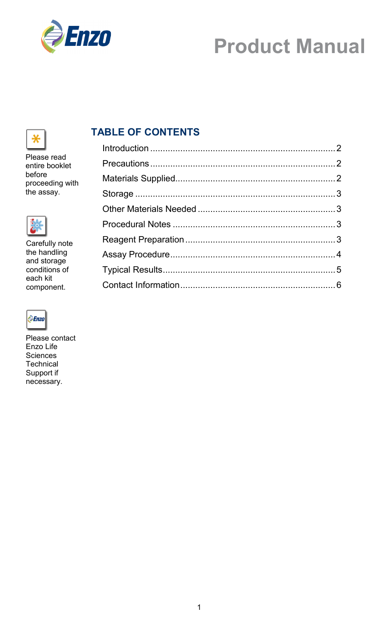

## ⋇

Please read entire booklet before proceeding with the assay.



Carefully note the handling and storage conditions of each kit component.



Please contact Enzo Life **Sciences Technical** Support if necessary.

## **TABLE OF CONTENTS**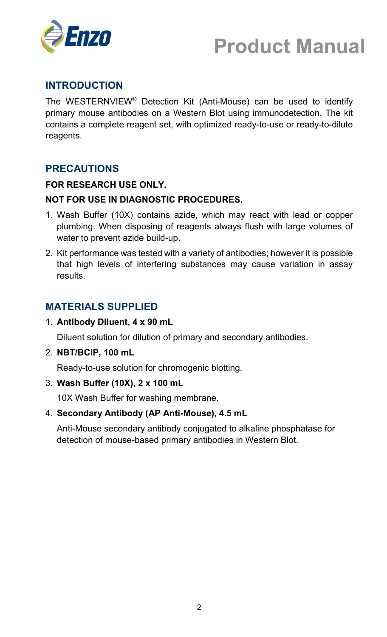



### **INTRODUCTION**

The WESTERNVIEW® Detection Kit (Anti-Mouse) can be used to identify primary mouse antibodies on a Western Blot using immunodetection. The kit contains a complete reagent set, with optimized ready-to-use or ready-to-dilute reagents.

### **PRECAUTIONS**

### **FOR RESEARCH USE ONLY.**

### **NOT FOR USE IN DIAGNOSTIC PROCEDURES.**

- 1. Wash Buffer (10X) contains azide, which may react with lead or copper plumbing. When disposing of reagents always flush with large volumes of water to prevent azide build-up.
- 2. Kit performance was tested with a variety of antibodies; however it is possible that high levels of interfering substances may cause variation in assay results.

### **MATERIALS SUPPLIED**

1. **Antibody Diluent, 4 x 90 mL**

Diluent solution for dilution of primary and secondary antibodies.

2. **NBT/BCIP, 100 mL**

Ready-to-use solution for chromogenic blotting.

#### 3. **Wash Buffer (10X), 2 x 100 mL**

10X Wash Buffer for washing membrane.

#### 4. **Secondary Antibody (AP Anti-Mouse), 4.5 mL**

Anti-Mouse secondary antibody conjugated to alkaline phosphatase for detection of mouse-based primary antibodies in Western Blot.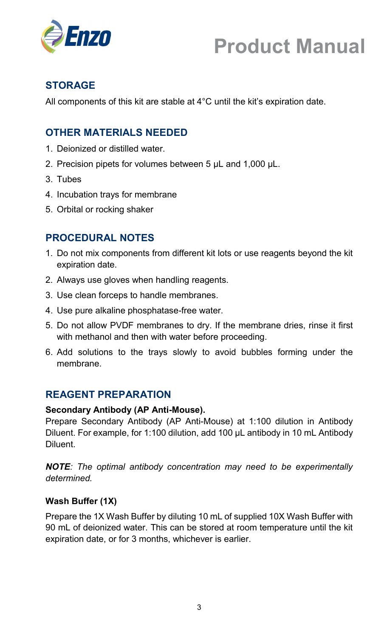

## **STORAGE**

All components of this kit are stable at 4°C until the kit's expiration date.

## **OTHER MATERIALS NEEDED**

- 1. Deionized or distilled water.
- 2. Precision pipets for volumes between 5 µL and 1,000 µL.
- 3. Tubes
- 4. Incubation trays for membrane
- 5. Orbital or rocking shaker

### **PROCEDURAL NOTES**

- 1. Do not mix components from different kit lots or use reagents beyond the kit expiration date.
- 2. Always use gloves when handling reagents.
- 3. Use clean forceps to handle membranes.
- 4. Use pure alkaline phosphatase-free water.
- 5. Do not allow PVDF membranes to dry. If the membrane dries, rinse it first with methanol and then with water before proceeding.
- 6. Add solutions to the trays slowly to avoid bubbles forming under the membrane.

### **REAGENT PREPARATION**

#### **Secondary Antibody (AP Anti-Mouse).**

Prepare Secondary Antibody (AP Anti-Mouse) at 1:100 dilution in Antibody Diluent. For example, for 1:100 dilution, add 100 µL antibody in 10 mL Antibody Diluent.

*NOTE: The optimal antibody concentration may need to be experimentally determined.*

#### **Wash Buffer (1X)**

Prepare the 1X Wash Buffer by diluting 10 mL of supplied 10X Wash Buffer with 90 mL of deionized water. This can be stored at room temperature until the kit expiration date, or for 3 months, whichever is earlier.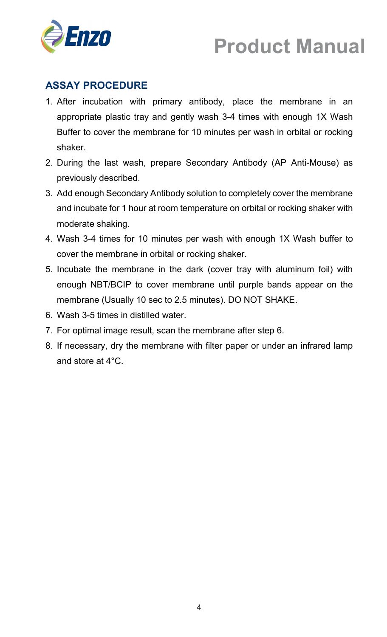

## **ASSAY PROCEDURE**

- 1. After incubation with primary antibody, place the membrane in an appropriate plastic tray and gently wash 3-4 times with enough 1X Wash Buffer to cover the membrane for 10 minutes per wash in orbital or rocking shaker.
- 2. During the last wash, prepare Secondary Antibody (AP Anti-Mouse) as previously described.
- 3. Add enough Secondary Antibody solution to completely cover the membrane and incubate for 1 hour at room temperature on orbital or rocking shaker with moderate shaking.
- 4. Wash 3-4 times for 10 minutes per wash with enough 1X Wash buffer to cover the membrane in orbital or rocking shaker.
- 5. Incubate the membrane in the dark (cover tray with aluminum foil) with enough NBT/BCIP to cover membrane until purple bands appear on the membrane (Usually 10 sec to 2.5 minutes). DO NOT SHAKE.
- 6. Wash 3-5 times in distilled water.
- 7. For optimal image result, scan the membrane after step 6.
- 8. If necessary, dry the membrane with filter paper or under an infrared lamp and store at 4°C.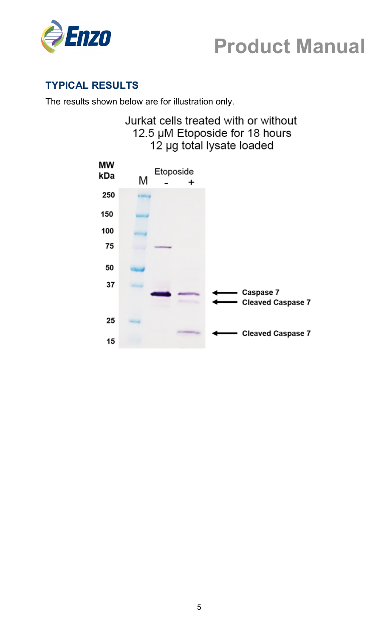



### **TYPICAL RESULTS**

The results shown below are for illustration only.

## Jurkat cells treated with or without 12.5 µM Etoposide for 18 hours 12 µg total lysate loaded